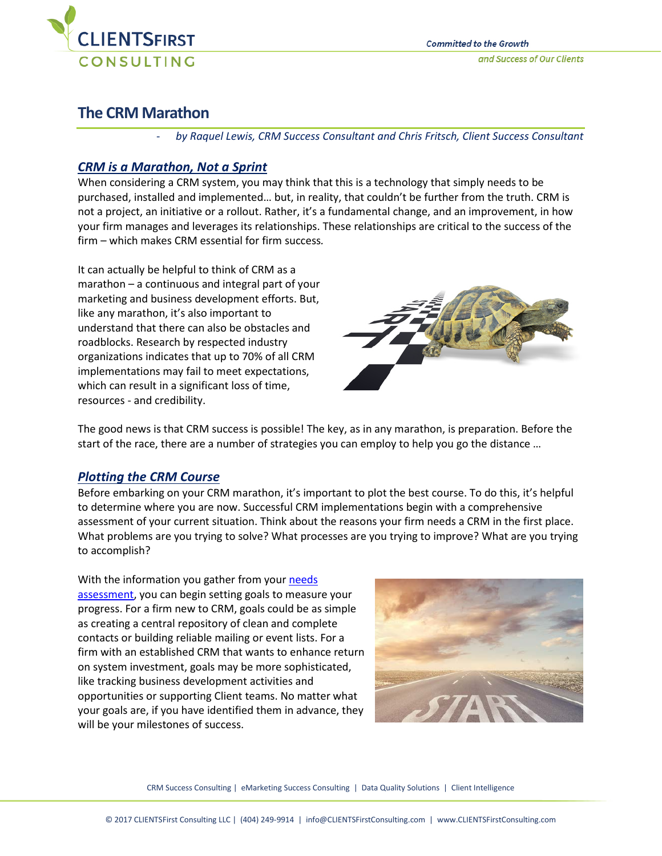

# **The CRM Marathon**

- *by Raquel Lewis, CRM Success Consultant and Chris Fritsch, Client Success Consultant*

## *CRM is a Marathon, Not a Sprint*

When considering a CRM system, you may think that this is a technology that simply needs to be purchased, installed and implemented… but, in reality, that couldn't be further from the truth. CRM is not a project, an initiative or a rollout. Rather, it's a fundamental change, and an improvement, in how your firm manages and leverages its relationships. These relationships are critical to the success of the firm – which makes CRM essential for firm success*.* 

It can actually be helpful to think of CRM as a marathon – a continuous and integral part of your marketing and business development efforts. But, like any marathon, it's also important to understand that there can also be obstacles and roadblocks. Research by respected industry organizations indicates that up to 70% of all CRM implementations may fail to meet expectations, which can result in a significant loss of time, resources - and credibility.



The good news is that CRM success is possible! The key, as in any marathon, is preparation. Before the start of the race, there are a number of strategies you can employ to help you go the distance …

# *Plotting the CRM Course*

Before embarking on your CRM marathon, it's important to plot the best course. To do this, it's helpful to determine where you are now. Successful CRM implementations begin with a comprehensive assessment of your current situation. Think about the reasons your firm needs a CRM in the first place. What problems are you trying to solve? What processes are you trying to improve? What are you trying to accomplish?

With the information you gather from your needs [assessment,](https://clientsfirstconsulting.com/services/client-relationship-management/selecting-crm/) you can begin setting goals to measure your progress. For a firm new to CRM, goals could be as simple as creating a central repository of clean and complete contacts or building reliable mailing or event lists. For a firm with an established CRM that wants to enhance return on system investment, goals may be more sophisticated, like tracking business development activities and opportunities or supporting Client teams. No matter what your goals are, if you have identified them in advance, they will be your milestones of success.



CRM Success Consulting | eMarketing Success Consulting | Data Quality Solutions | Client Intelligence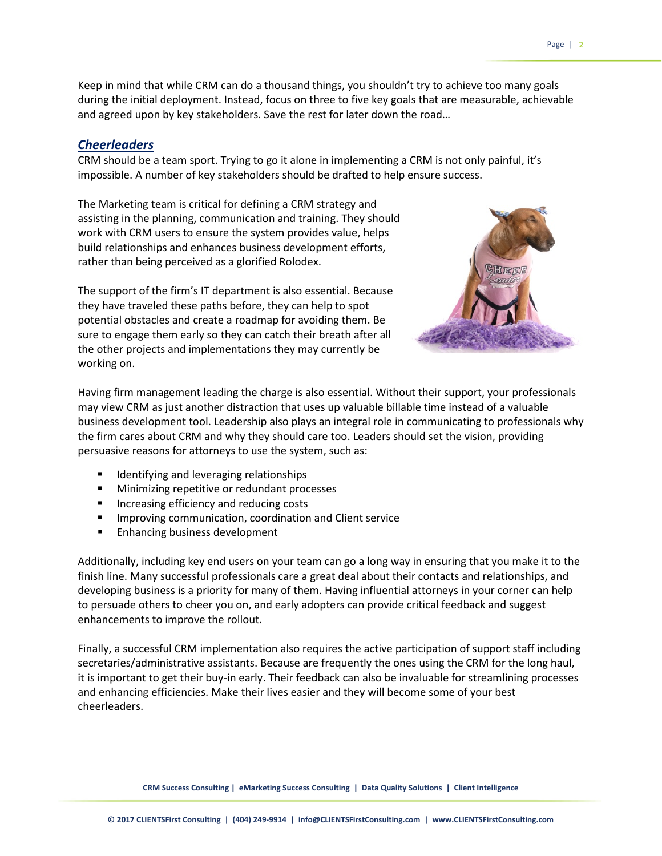## *Cheerleaders*

CRM should be a team sport. Trying to go it alone in implementing a CRM is not only painful, it's impossible. A number of key stakeholders should be drafted to help ensure success.

The Marketing team is critical for defining a CRM strategy and assisting in the planning, communication and training. They should work with CRM users to ensure the system provides value, helps build relationships and enhances business development efforts, rather than being perceived as a glorified Rolodex.

and agreed upon by key stakeholders. Save the rest for later down the road…

The support of the firm's IT department is also essential. Because they have traveled these paths before, they can help to spot potential obstacles and create a roadmap for avoiding them. Be sure to engage them early so they can catch their breath after all the other projects and implementations they may currently be working on.



Having firm management leading the charge is also essential. Without their support, your professionals may view CRM as just another distraction that uses up valuable billable time instead of a valuable business development tool. Leadership also plays an integral role in communicating to professionals why the firm cares about CRM and why they should care too. Leaders should set the vision, providing persuasive reasons for attorneys to use the system, such as:

- **IDENTIFY 1** Identifying and leveraging relationships
- **Minimizing repetitive or redundant processes**
- **Increasing efficiency and reducing costs**
- **IMPROVING COMMUNICATION, COORDINATION AND CLIENT SERVICE**
- **Enhancing business development**

Additionally, including key end users on your team can go a long way in ensuring that you make it to the finish line. Many successful professionals care a great deal about their contacts and relationships, and developing business is a priority for many of them. Having influential attorneys in your corner can help to persuade others to cheer you on, and early adopters can provide critical feedback and suggest enhancements to improve the rollout.

Finally, a successful CRM implementation also requires the active participation of support staff including secretaries/administrative assistants. Because are frequently the ones using the CRM for the long haul, it is important to get their buy-in early. Their feedback can also be invaluable for streamlining processes and enhancing efficiencies. Make their lives easier and they will become some of your best cheerleaders.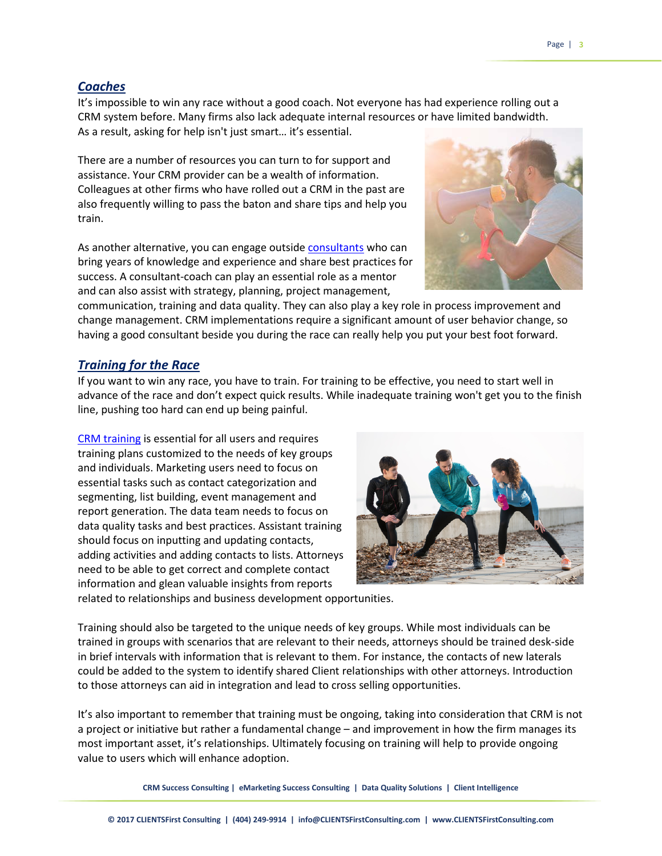#### *Coaches*

It's impossible to win any race without a good coach. Not everyone has had experience rolling out a CRM system before. Many firms also lack adequate internal resources or have limited bandwidth. As a result, asking for help isn't just smart… it's essential.

There are a number of resources you can turn to for support and assistance. Your CRM provider can be a wealth of information. Colleagues at other firms who have rolled out a CRM in the past are also frequently willing to pass the baton and share tips and help you train.

As another alternative, you can engage outside [consultants](https://clientsfirstconsulting.com/services/client-relationship-management/) who can bring years of knowledge and experience and share best practices for success. A consultant-coach can play an essential role as a mentor and can also assist with strategy, planning, project management,



communication, training and data quality. They can also play a key role in process improvement and change management. CRM implementations require a significant amount of user behavior change, so having a good consultant beside you during the race can really help you put your best foot forward.

#### *Training for the Race*

If you want to win any race, you have to train. For training to be effective, you need to start well in advance of the race and don't expect quick results. While inadequate training won't get you to the finish line, pushing too hard can end up being painful.

[CRM training](https://clientsfirstconsulting.com/services/client-relationship-management/improving-crm/) is essential for all users and requires training plans customized to the needs of key groups and individuals. Marketing users need to focus on essential tasks such as contact categorization and segmenting, list building, event management and report generation. The data team needs to focus on data quality tasks and best practices. Assistant training should focus on inputting and updating contacts, adding activities and adding contacts to lists. Attorneys need to be able to get correct and complete contact information and glean valuable insights from reports



related to relationships and business development opportunities.

Training should also be targeted to the unique needs of key groups. While most individuals can be trained in groups with scenarios that are relevant to their needs, attorneys should be trained desk-side in brief intervals with information that is relevant to them. For instance, the contacts of new laterals could be added to the system to identify shared Client relationships with other attorneys. Introduction to those attorneys can aid in integration and lead to cross selling opportunities.

It's also important to remember that training must be ongoing, taking into consideration that CRM is not a project or initiative but rather a fundamental change – and improvement in how the firm manages its most important asset, it's relationships. Ultimately focusing on training will help to provide ongoing value to users which will enhance adoption.

**CRM Success Consulting | eMarketing Success Consulting | Data Quality Solutions | Client Intelligence**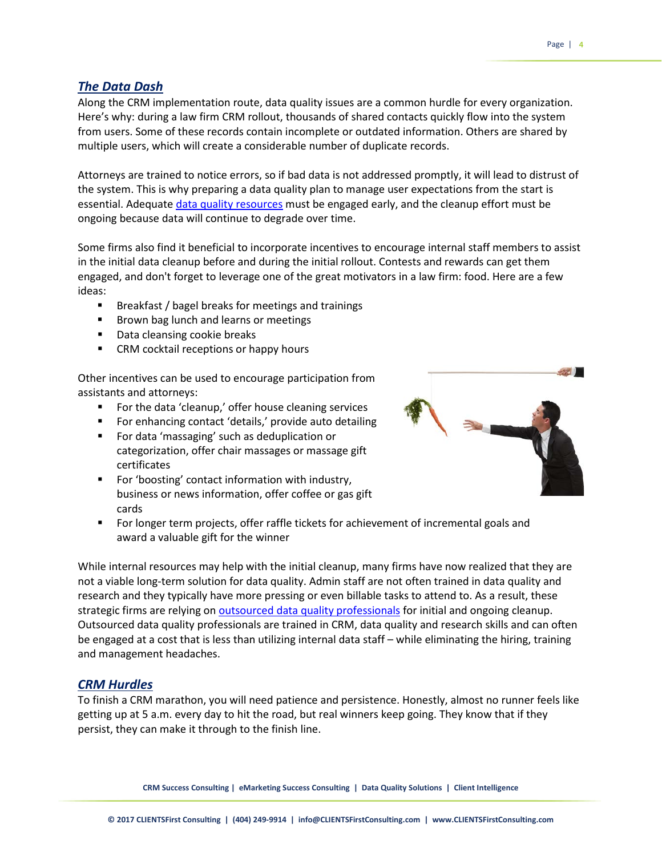#### *The Data Dash*

Along the CRM implementation route, data quality issues are a common hurdle for every organization. Here's why: during a law firm CRM rollout, thousands of shared contacts quickly flow into the system from users. Some of these records contain incomplete or outdated information. Others are shared by multiple users, which will create a considerable number of duplicate records.

Attorneys are trained to notice errors, so if bad data is not addressed promptly, it will lead to distrust of the system. This is why preparing a data quality plan to manage user expectations from the start is essential. Adequat[e data quality resources](https://clientsfirstconsulting.com/services/data-quality-solutions/) must be engaged early, and the cleanup effort must be ongoing because data will continue to degrade over time.

Some firms also find it beneficial to incorporate incentives to encourage internal staff members to assist in the initial data cleanup before and during the initial rollout. Contests and rewards can get them engaged, and don't forget to leverage one of the great motivators in a law firm: food. Here are a few ideas:

- Breakfast / bagel breaks for meetings and trainings
- **Brown bag lunch and learns or meetings**
- Data cleansing cookie breaks
- **EXTERM** cocktail receptions or happy hours

Other incentives can be used to encourage participation from assistants and attorneys:

- For the data 'cleanup,' offer house cleaning services
- For enhancing contact 'details,' provide auto detailing
- For data 'massaging' such as deduplication or categorization, offer chair massages or massage gift certificates
- **Fig.** For 'boosting' contact information with industry, business or news information, offer coffee or gas gift cards
- For longer term projects, offer raffle tickets for achievement of incremental goals and award a valuable gift for the winner

While internal resources may help with the initial cleanup, many firms have now realized that they are not a viable long-term solution for data quality. Admin staff are not often trained in data quality and research and they typically have more pressing or even billable tasks to attend to. As a result, these strategic firms are relying on [outsourced data quality professionals](https://clientsfirstconsulting.com/outsourced-crm-staffing/) for initial and ongoing cleanup. Outsourced data quality professionals are trained in CRM, data quality and research skills and can often be engaged at a cost that is less than utilizing internal data staff – while eliminating the hiring, training and management headaches.

## *CRM Hurdles*

To finish a CRM marathon, you will need patience and persistence. Honestly, almost no runner feels like getting up at 5 a.m. every day to hit the road, but real winners keep going. They know that if they persist, they can make it through to the finish line.

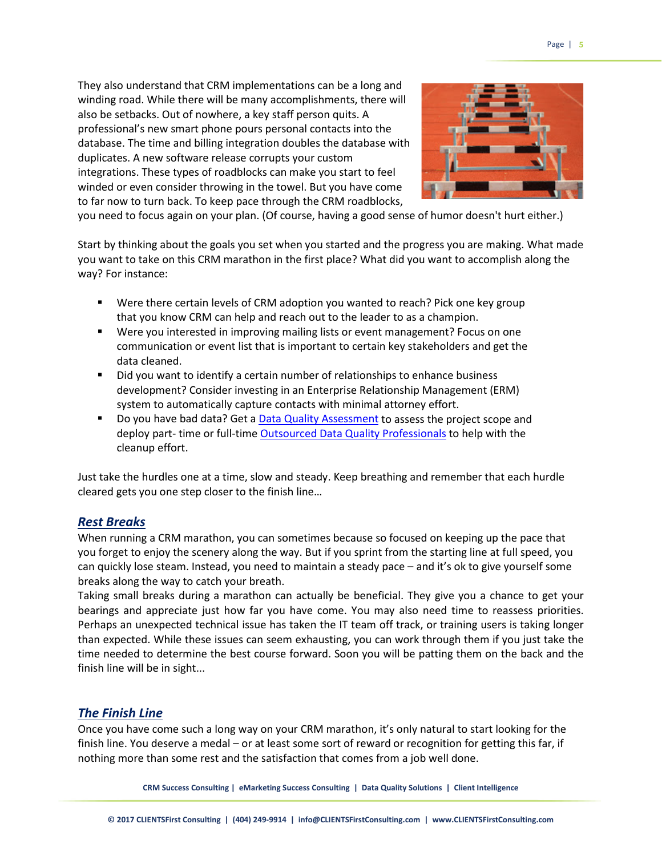They also understand that CRM implementations can be a long and winding road. While there will be many accomplishments, there will also be setbacks. Out of nowhere, a key staff person quits. A professional's new smart phone pours personal contacts into the database. The time and billing integration doubles the database with duplicates. A new software release corrupts your custom integrations. These types of roadblocks can make you start to feel winded or even consider throwing in the towel. But you have come to far now to turn back. To keep pace through the CRM roadblocks,



you need to focus again on your plan. (Of course, having a good sense of humor doesn't hurt either.)

Start by thinking about the goals you set when you started and the progress you are making. What made you want to take on this CRM marathon in the first place? What did you want to accomplish along the way? For instance:

- Were there certain levels of CRM adoption you wanted to reach? Pick one key group that you know CRM can help and reach out to the leader to as a champion.
- Were you interested in improving mailing lists or event management? Focus on one communication or event list that is important to certain key stakeholders and get the data cleaned.
- Did you want to identify a certain number of relationships to enhance business development? Consider investing in an Enterprise Relationship Management (ERM) system to automatically capture contacts with minimal attorney effort.
- Do you have bad data? Get a [Data Quality Assessment](https://clientsfirstconsulting.com/services/data-quality-solutions/) to assess the project scope and deploy part- time or full-time [Outsourced Data Quality Professionals](https://clientsfirstconsulting.com/outsourced-crm-staffing/) to help with the cleanup effort.

Just take the hurdles one at a time, slow and steady. Keep breathing and remember that each hurdle cleared gets you one step closer to the finish line…

#### *Rest Breaks*

When running a CRM marathon, you can sometimes because so focused on keeping up the pace that you forget to enjoy the scenery along the way. But if you sprint from the starting line at full speed, you can quickly lose steam. Instead, you need to maintain a steady pace – and it's ok to give yourself some breaks along the way to catch your breath.

Taking small breaks during a marathon can actually be beneficial. They give you a chance to get your bearings and appreciate just how far you have come. You may also need time to reassess priorities. Perhaps an unexpected technical issue has taken the IT team off track, or training users is taking longer than expected. While these issues can seem exhausting, you can work through them if you just take the time needed to determine the best course forward. Soon you will be patting them on the back and the finish line will be in sight...

## *The Finish Line*

Once you have come such a long way on your CRM marathon, it's only natural to start looking for the finish line. You deserve a medal – or at least some sort of reward or recognition for getting this far, if nothing more than some rest and the satisfaction that comes from a job well done.

**CRM Success Consulting | eMarketing Success Consulting | Data Quality Solutions | Client Intelligence**